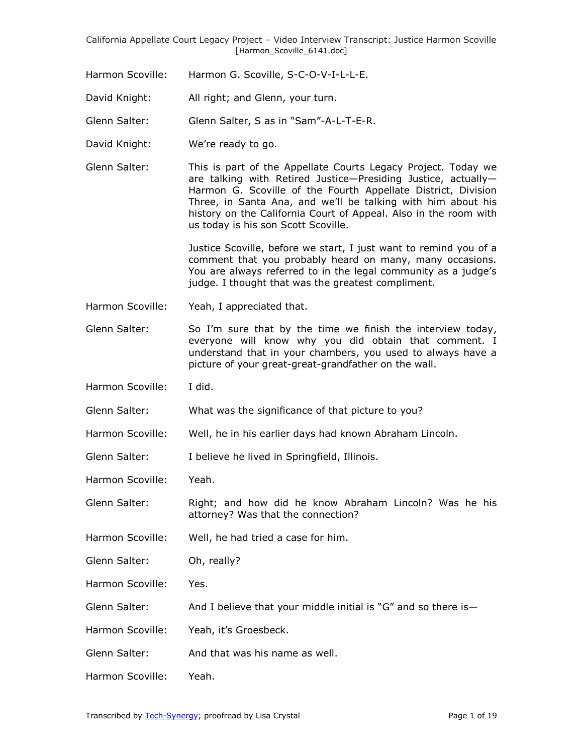- Harmon Scoville: Harmon G. Scoville, S-C-O-V-I-L-L-E.
- David Knight: All right; and Glenn, your turn.

Glenn Salter: Glenn Salter, S as in "Sam"-A-L-T-E-R.

- David Knight: We're ready to go.
- Glenn Salter: This is part of the Appellate Courts Legacy Project. Today we are talking with Retired Justice—Presiding Justice, actually— Harmon G. Scoville of the Fourth Appellate District, Division Three, in Santa Ana, and we'll be talking with him about his history on the California Court of Appeal. Also in the room with us today is his son Scott Scoville.

Justice Scoville, before we start, I just want to remind you of a comment that you probably heard on many, many occasions. You are always referred to in the legal community as a judge's judge. I thought that was the greatest compliment.

- Harmon Scoville: Yeah, I appreciated that.
- Glenn Salter: So I'm sure that by the time we finish the interview today, everyone will know why you did obtain that comment. I understand that in your chambers, you used to always have a picture of your great-great-grandfather on the wall.
- Harmon Scoville: I did.
- Glenn Salter: What was the significance of that picture to you?
- Harmon Scoville: Well, he in his earlier days had known Abraham Lincoln.
- Glenn Salter: I believe he lived in Springfield, Illinois.
- Harmon Scoville: Yeah.
- Glenn Salter: Right; and how did he know Abraham Lincoln? Was he his attorney? Was that the connection?
- Harmon Scoville: Well, he had tried a case for him.
- Glenn Salter: Oh, really?
- Harmon Scoville: Yes.
- Glenn Salter: And I believe that your middle initial is "G" and so there is-
- Harmon Scoville: Yeah, it's Groesbeck.
- Glenn Salter: And that was his name as well.
- Harmon Scoville: Yeah.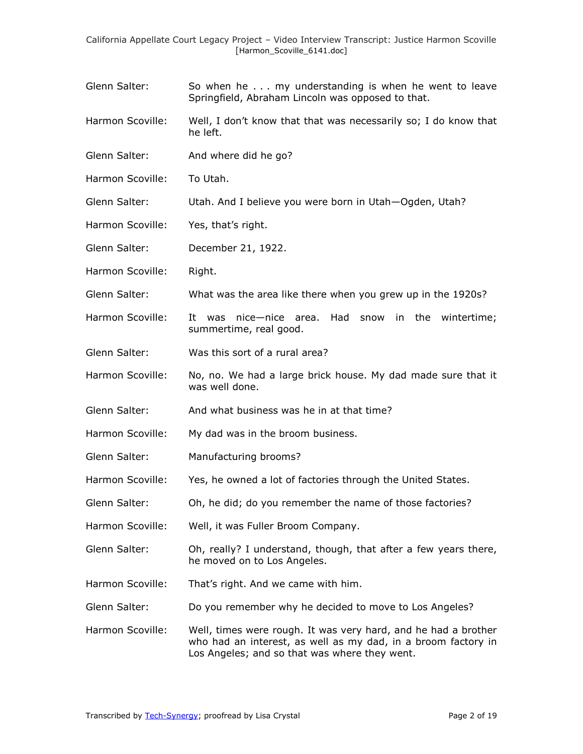- Glenn Salter: So when he . . . my understanding is when he went to leave Springfield, Abraham Lincoln was opposed to that.
- Harmon Scoville: Well, I don't know that that was necessarily so; I do know that he left.
- Glenn Salter: And where did he go?
- Harmon Scoville: To Utah.
- Glenn Salter: Utah. And I believe you were born in Utah—Ogden, Utah?
- Harmon Scoville: Yes, that's right.
- Glenn Salter: December 21, 1922.
- Harmon Scoville: Right.
- Glenn Salter: What was the area like there when you grew up in the 1920s?
- Harmon Scoville: It was nice—nice area. Had snow in the wintertime; summertime, real good.
- Glenn Salter: Was this sort of a rural area?
- Harmon Scoville: No, no. We had a large brick house. My dad made sure that it was well done.
- Glenn Salter: And what business was he in at that time?
- Harmon Scoville: My dad was in the broom business.
- Glenn Salter: Manufacturing brooms?
- Harmon Scoville: Yes, he owned a lot of factories through the United States.
- Glenn Salter: Oh, he did; do you remember the name of those factories?
- Harmon Scoville: Well, it was Fuller Broom Company.
- Glenn Salter: Oh, really? I understand, though, that after a few years there, he moved on to Los Angeles.
- Harmon Scoville: That's right. And we came with him.
- Glenn Salter: Do you remember why he decided to move to Los Angeles?
- Harmon Scoville: Well, times were rough. It was very hard, and he had a brother who had an interest, as well as my dad, in a broom factory in Los Angeles; and so that was where they went.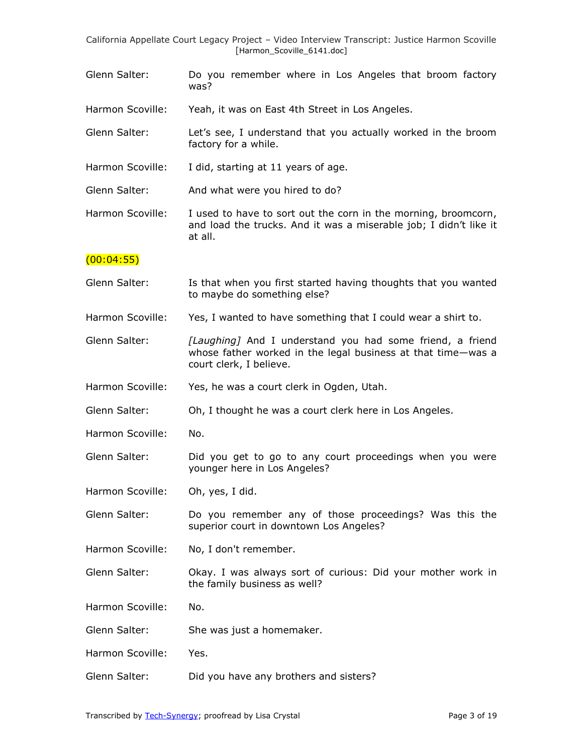Glenn Salter: Do you remember where in Los Angeles that broom factory was?

Harmon Scoville: Yeah, it was on East 4th Street in Los Angeles.

- Glenn Salter: Let's see, I understand that you actually worked in the broom factory for a while.
- Harmon Scoville: I did, starting at 11 years of age.
- Glenn Salter: And what were you hired to do?
- Harmon Scoville: I used to have to sort out the corn in the morning, broomcorn, and load the trucks. And it was a miserable job; I didn't like it at all.

# $(00:04:55)$

- Glenn Salter: Is that when you first started having thoughts that you wanted to maybe do something else?
- Harmon Scoville: Yes, I wanted to have something that I could wear a shirt to.
- Glenn Salter: *[Laughing]* And I understand you had some friend, a friend whose father worked in the legal business at that time—was a court clerk, I believe.
- Harmon Scoville: Yes, he was a court clerk in Ogden, Utah.
- Glenn Salter: Oh, I thought he was a court clerk here in Los Angeles.
- Harmon Scoville: No.
- Glenn Salter: Did you get to go to any court proceedings when you were younger here in Los Angeles?
- Harmon Scoville: Oh, yes, I did.
- Glenn Salter: Do you remember any of those proceedings? Was this the superior court in downtown Los Angeles?
- Harmon Scoville: No, I don't remember.
- Glenn Salter: Okay. I was always sort of curious: Did your mother work in the family business as well?
- Harmon Scoville: No.
- Glenn Salter: She was just a homemaker.
- Harmon Scoville: Yes.
- Glenn Salter: Did you have any brothers and sisters?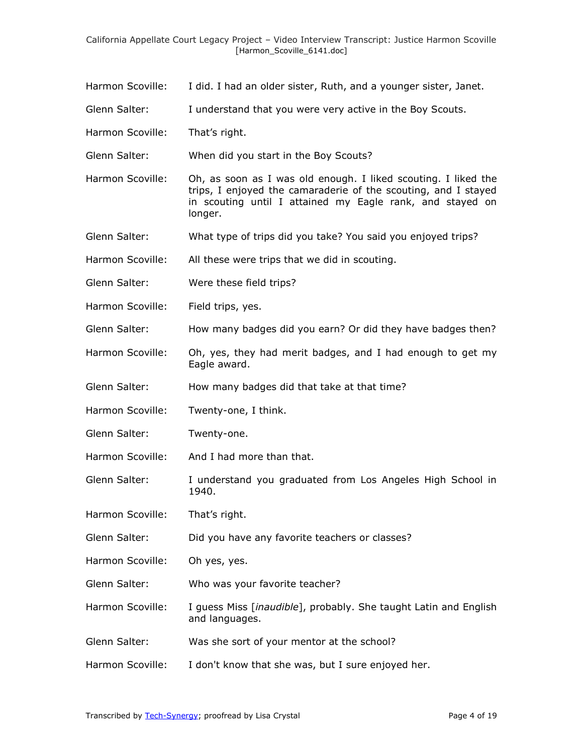- Harmon Scoville: I did. I had an older sister, Ruth, and a younger sister, Janet.
- Glenn Salter: I understand that you were very active in the Boy Scouts.
- Harmon Scoville: That's right.
- Glenn Salter: When did you start in the Boy Scouts?
- Harmon Scoville: Oh, as soon as I was old enough. I liked scouting. I liked the trips, I enjoyed the camaraderie of the scouting, and I stayed in scouting until I attained my Eagle rank, and stayed on longer.
- Glenn Salter: What type of trips did you take? You said you enjoyed trips?
- Harmon Scoville: All these were trips that we did in scouting.
- Glenn Salter: Were these field trips?
- Harmon Scoville: Field trips, yes.
- Glenn Salter: How many badges did you earn? Or did they have badges then?
- Harmon Scoville: Oh, yes, they had merit badges, and I had enough to get my Eagle award.
- Glenn Salter: How many badges did that take at that time?
- Harmon Scoville: Twenty-one, I think.
- Glenn Salter: Twenty-one.
- Harmon Scoville: And I had more than that.
- Glenn Salter: I understand you graduated from Los Angeles High School in 1940.
- Harmon Scoville: That's right.
- Glenn Salter: Did you have any favorite teachers or classes?
- Harmon Scoville: Oh yes, yes.
- Glenn Salter: Who was your favorite teacher?
- Harmon Scoville: I guess Miss [inaudible], probably. She taught Latin and English and languages.
- Glenn Salter: Was she sort of your mentor at the school?
- Harmon Scoville: I don't know that she was, but I sure enjoyed her.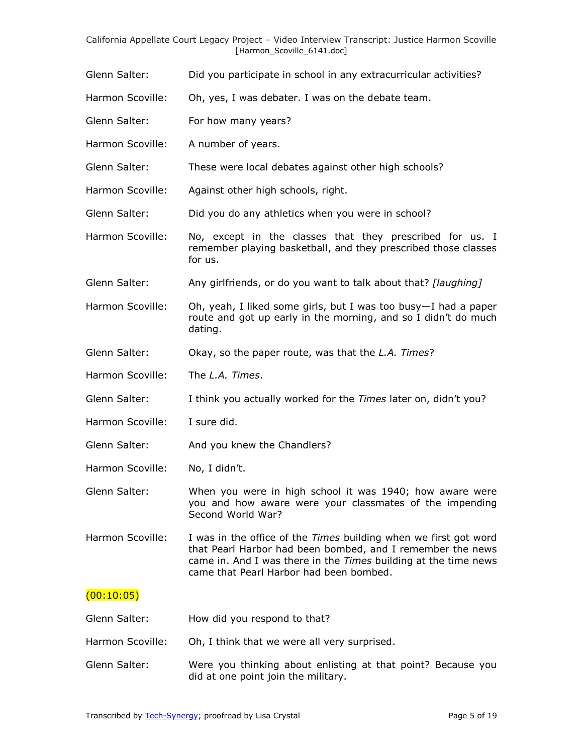- Glenn Salter: Did you participate in school in any extracurricular activities?
- Harmon Scoville: Oh, yes, I was debater. I was on the debate team.
- Glenn Salter: For how many years?
- Harmon Scoville: A number of years.
- Glenn Salter: These were local debates against other high schools?
- Harmon Scoville: Against other high schools, right.
- Glenn Salter: Did you do any athletics when you were in school?
- Harmon Scoville: No, except in the classes that they prescribed for us. I remember playing basketball, and they prescribed those classes for us.
- Glenn Salter: Any girlfriends, or do you want to talk about that? *[laughing]*
- Harmon Scoville: Oh, yeah, I liked some girls, but I was too busy—I had a paper route and got up early in the morning, and so I didn't do much dating.
- Glenn Salter: Okay, so the paper route, was that the *L.A. Times*?
- Harmon Scoville: The *L.A. Times*.
- Glenn Salter: I think you actually worked for the *Times* later on, didn't you?
- Harmon Scoville: I sure did.
- Glenn Salter: And you knew the Chandlers?
- Harmon Scoville: No, I didn't.

Glenn Salter: When you were in high school it was 1940; how aware were you and how aware were your classmates of the impending Second World War?

Harmon Scoville: I was in the office of the *Times* building when we first got word that Pearl Harbor had been bombed, and I remember the news came in. And I was there in the *Times* building at the time news came that Pearl Harbor had been bombed.

### $(00:10:05)$

- Glenn Salter: How did you respond to that?
- Harmon Scoville: Oh, I think that we were all very surprised.
- Glenn Salter: Were you thinking about enlisting at that point? Because you did at one point join the military.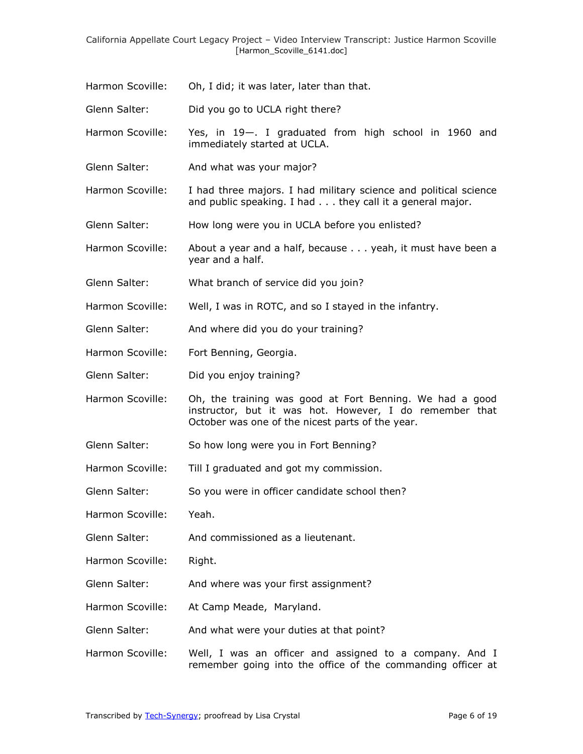Harmon Scoville: Oh, I did; it was later, later than that.

Glenn Salter: Did you go to UCLA right there?

Harmon Scoville: Yes, in 19—. I graduated from high school in 1960 and immediately started at UCLA.

Glenn Salter: And what was your major?

Harmon Scoville: I had three majors. I had military science and political science and public speaking. I had . . . they call it a general major.

Glenn Salter: How long were you in UCLA before you enlisted?

- Harmon Scoville: About a year and a half, because . . . yeah, it must have been a year and a half.
- Glenn Salter: What branch of service did you join?
- Harmon Scoville: Well, I was in ROTC, and so I stayed in the infantry.
- Glenn Salter: And where did you do your training?
- Harmon Scoville: Fort Benning, Georgia.
- Glenn Salter: Did you enjoy training?
- Harmon Scoville: Oh, the training was good at Fort Benning. We had a good instructor, but it was hot. However, I do remember that October was one of the nicest parts of the year.
- Glenn Salter: So how long were you in Fort Benning?
- Harmon Scoville: Till I graduated and got my commission.
- Glenn Salter: So you were in officer candidate school then?
- Harmon Scoville: Yeah.

Glenn Salter: And commissioned as a lieutenant.

Harmon Scoville: Right.

- Glenn Salter: And where was your first assignment?
- Harmon Scoville: At Camp Meade, Maryland.
- Glenn Salter: And what were your duties at that point?
- Harmon Scoville: Well, I was an officer and assigned to a company. And I remember going into the office of the commanding officer at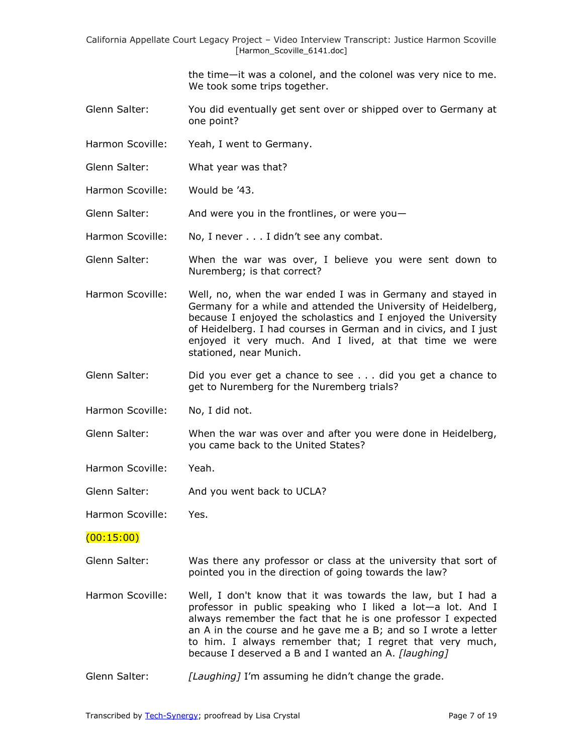> the time—it was a colonel, and the colonel was very nice to me. We took some trips together.

- Glenn Salter: You did eventually get sent over or shipped over to Germany at one point?
- Harmon Scoville: Yeah, I went to Germany.
- Glenn Salter: What year was that?
- Harmon Scoville: Would be '43.

Glenn Salter: And were you in the frontlines, or were you-

Harmon Scoville: No, I never . . . I didn't see any combat.

- Glenn Salter: When the war was over, I believe you were sent down to Nuremberg; is that correct?
- Harmon Scoville: Well, no, when the war ended I was in Germany and stayed in Germany for a while and attended the University of Heidelberg, because I enjoyed the scholastics and I enjoyed the University of Heidelberg. I had courses in German and in civics, and I just enjoyed it very much. And I lived, at that time we were stationed, near Munich.
- Glenn Salter: Did you ever get a chance to see . . . did you get a chance to get to Nuremberg for the Nuremberg trials?
- Harmon Scoville: No. I did not.
- Glenn Salter: When the war was over and after you were done in Heidelberg, you came back to the United States?
- Harmon Scoville: Yeah.
- Glenn Salter: And you went back to UCLA?

Harmon Scoville: Yes.

#### (00:15:00)

- Glenn Salter: Was there any professor or class at the university that sort of pointed you in the direction of going towards the law?
- Harmon Scoville: Well, I don't know that it was towards the law, but I had a professor in public speaking who I liked a lot—a lot. And I always remember the fact that he is one professor I expected an A in the course and he gave me a B; and so I wrote a letter to him. I always remember that; I regret that very much, because I deserved a B and I wanted an A. *[laughing]*
- Glenn Salter: *[Laughing]* I'm assuming he didn't change the grade.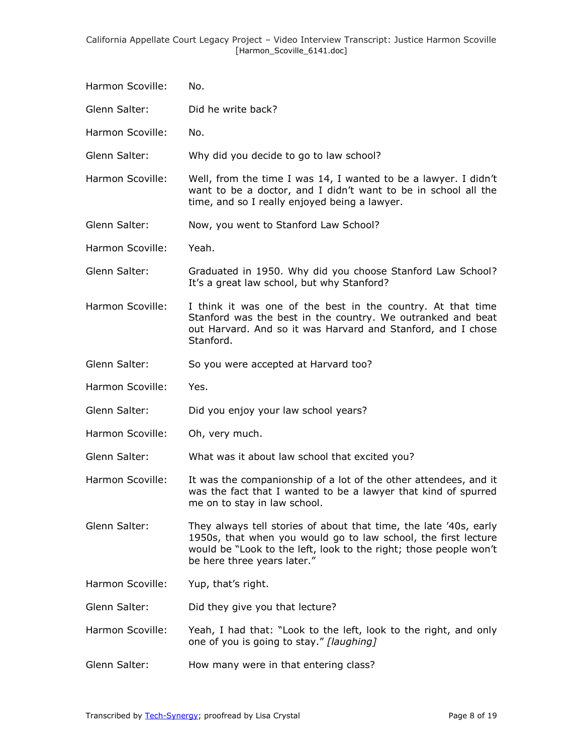- Harmon Scoville: No.
- Glenn Salter: Did he write back?
- Harmon Scoville: No.
- Glenn Salter: Why did you decide to go to law school?
- Harmon Scoville: Well, from the time I was 14, I wanted to be a lawyer. I didn't want to be a doctor, and I didn't want to be in school all the time, and so I really enjoyed being a lawyer.
- Glenn Salter: Now, you went to Stanford Law School?
- Harmon Scoville: Yeah.
- Glenn Salter: Graduated in 1950. Why did you choose Stanford Law School? It's a great law school, but why Stanford?
- Harmon Scoville: I think it was one of the best in the country. At that time Stanford was the best in the country. We outranked and beat out Harvard. And so it was Harvard and Stanford, and I chose Stanford.
- Glenn Salter: So you were accepted at Harvard too?
- Harmon Scoville: Yes.
- Glenn Salter: Did you enjoy your law school years?
- Harmon Scoville: Oh, very much.

Glenn Salter: What was it about law school that excited you?

- Harmon Scoville: It was the companionship of a lot of the other attendees, and it was the fact that I wanted to be a lawyer that kind of spurred me on to stay in law school.
- Glenn Salter: They always tell stories of about that time, the late '40s, early 1950s, that when you would go to law school, the first lecture would be "Look to the left, look to the right; those people won't be here three years later."
- Harmon Scoville: Yup, that's right.
- Glenn Salter: Did they give you that lecture?
- Harmon Scoville: Yeah, I had that: "Look to the left, look to the right, and only one of you is going to stay.‖ *[laughing]*
- Glenn Salter: How many were in that entering class?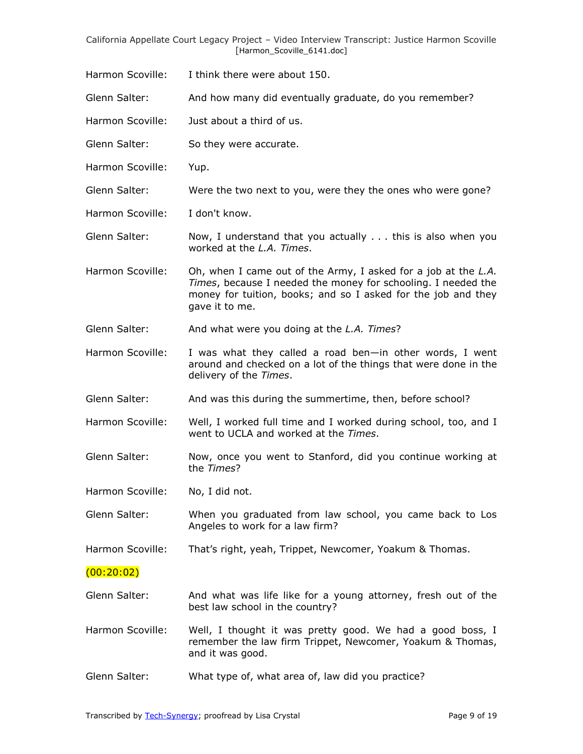- Harmon Scoville: I think there were about 150.
- Glenn Salter: And how many did eventually graduate, do you remember?
- Harmon Scoville: Just about a third of us.
- Glenn Salter: So they were accurate.
- Harmon Scoville: Yup.
- Glenn Salter: Were the two next to you, were they the ones who were gone?
- Harmon Scoville: I don't know.
- Glenn Salter: Now, I understand that you actually . . . this is also when you worked at the *L.A. Times*.
- Harmon Scoville: Oh, when I came out of the Army, I asked for a job at the *L.A. Times*, because I needed the money for schooling. I needed the money for tuition, books; and so I asked for the job and they gave it to me.
- Glenn Salter: And what were you doing at the *L.A. Times*?
- Harmon Scoville: I was what they called a road ben—in other words, I went around and checked on a lot of the things that were done in the delivery of the *Times*.
- Glenn Salter: And was this during the summertime, then, before school?
- Harmon Scoville: Well, I worked full time and I worked during school, too, and I went to UCLA and worked at the *Times*.
- Glenn Salter: Now, once you went to Stanford, did you continue working at the *Times*?
- Harmon Scoville: No, I did not.
- Glenn Salter: When you graduated from law school, you came back to Los Angeles to work for a law firm?
- Harmon Scoville: That's right, yeah, Trippet, Newcomer, Yoakum & Thomas.

### (00:20:02)

- Glenn Salter: And what was life like for a young attorney, fresh out of the best law school in the country?
- Harmon Scoville: Well, I thought it was pretty good. We had a good boss, I remember the law firm Trippet, Newcomer, Yoakum & Thomas, and it was good.
- Glenn Salter: What type of, what area of, law did you practice?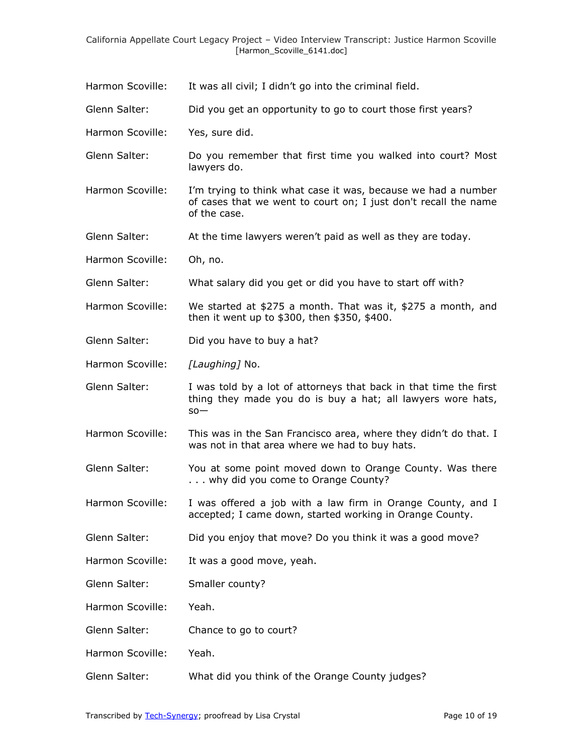Harmon Scoville: It was all civil; I didn't go into the criminal field.

Glenn Salter: Did you get an opportunity to go to court those first years?

Harmon Scoville: Yes, sure did.

- Glenn Salter: Do you remember that first time you walked into court? Most lawyers do.
- Harmon Scoville: I'm trying to think what case it was, because we had a number of cases that we went to court on; I just don't recall the name of the case.
- Glenn Salter: At the time lawyers weren't paid as well as they are today.
- Harmon Scoville: Oh, no.
- Glenn Salter: What salary did you get or did you have to start off with?
- Harmon Scoville: We started at \$275 a month. That was it, \$275 a month, and then it went up to \$300, then \$350, \$400.
- Glenn Salter: Did you have to buy a hat?
- Harmon Scoville: *[Laughing]* No.
- Glenn Salter: I was told by a lot of attorneys that back in that time the first thing they made you do is buy a hat; all lawyers wore hats, so—
- Harmon Scoville: This was in the San Francisco area, where they didn't do that. I was not in that area where we had to buy hats.
- Glenn Salter: You at some point moved down to Orange County. Was there . . . why did you come to Orange County?
- Harmon Scoville: I was offered a job with a law firm in Orange County, and I accepted; I came down, started working in Orange County.
- Glenn Salter: Did you enjoy that move? Do you think it was a good move?
- Harmon Scoville: It was a good move, yeah.
- Glenn Salter: Smaller county?
- Harmon Scoville: Yeah.
- Glenn Salter: Chance to go to court?
- Harmon Scoville: Yeah.
- Glenn Salter: What did you think of the Orange County judges?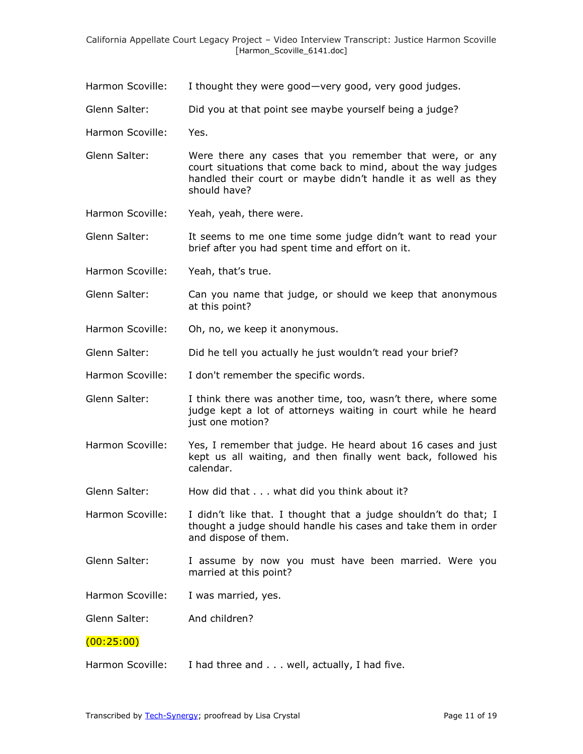- Harmon Scoville: I thought they were good—very good, very good judges.
- Glenn Salter: Did you at that point see maybe yourself being a judge?
- Harmon Scoville: Yes.
- Glenn Salter: Were there any cases that you remember that were, or any court situations that come back to mind, about the way judges handled their court or maybe didn't handle it as well as they should have?
- Harmon Scoville: Yeah, yeah, there were.
- Glenn Salter: It seems to me one time some judge didn't want to read your brief after you had spent time and effort on it.
- Harmon Scoville: Yeah, that's true.
- Glenn Salter: Can you name that judge, or should we keep that anonymous at this point?
- Harmon Scoville: Oh, no, we keep it anonymous.
- Glenn Salter: Did he tell you actually he just wouldn't read your brief?
- Harmon Scoville: I don't remember the specific words.
- Glenn Salter: I think there was another time, too, wasn't there, where some judge kept a lot of attorneys waiting in court while he heard just one motion?
- Harmon Scoville: Yes, I remember that judge. He heard about 16 cases and just kept us all waiting, and then finally went back, followed his calendar.
- Glenn Salter: How did that . . . what did you think about it?

Harmon Scoville: I didn't like that. I thought that a judge shouldn't do that; I thought a judge should handle his cases and take them in order and dispose of them.

- Glenn Salter: I assume by now you must have been married. Were you married at this point?
- Harmon Scoville: I was married, yes.
- Glenn Salter: And children?

# (00:25:00)

Harmon Scoville: I had three and . . . well, actually, I had five.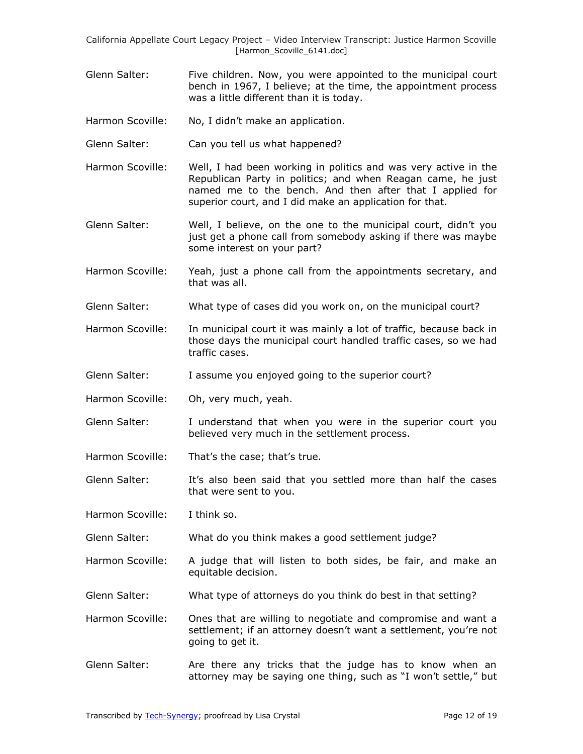- Glenn Salter: Five children. Now, you were appointed to the municipal court bench in 1967, I believe; at the time, the appointment process was a little different than it is today.
- Harmon Scoville: No, I didn't make an application.
- Glenn Salter: Can you tell us what happened?
- Harmon Scoville: Well, I had been working in politics and was very active in the Republican Party in politics; and when Reagan came, he just named me to the bench. And then after that I applied for superior court, and I did make an application for that.
- Glenn Salter: Well, I believe, on the one to the municipal court, didn't you just get a phone call from somebody asking if there was maybe some interest on your part?
- Harmon Scoville: Yeah, just a phone call from the appointments secretary, and that was all.
- Glenn Salter: What type of cases did you work on, on the municipal court?
- Harmon Scoville: In municipal court it was mainly a lot of traffic, because back in those days the municipal court handled traffic cases, so we had traffic cases.
- Glenn Salter: I assume you enjoyed going to the superior court?
- Harmon Scoville: Oh, very much, yeah.
- Glenn Salter: I understand that when you were in the superior court you believed very much in the settlement process.
- Harmon Scoville: That's the case; that's true.
- Glenn Salter: It's also been said that you settled more than half the cases that were sent to you.
- Harmon Scoville: I think so.
- Glenn Salter: What do you think makes a good settlement judge?
- Harmon Scoville: A judge that will listen to both sides, be fair, and make an equitable decision.
- Glenn Salter: What type of attorneys do you think do best in that setting?
- Harmon Scoville: Ones that are willing to negotiate and compromise and want a settlement; if an attorney doesn't want a settlement, you're not going to get it.
- Glenn Salter: Are there any tricks that the judge has to know when an attorney may be saying one thing, such as "I won't settle," but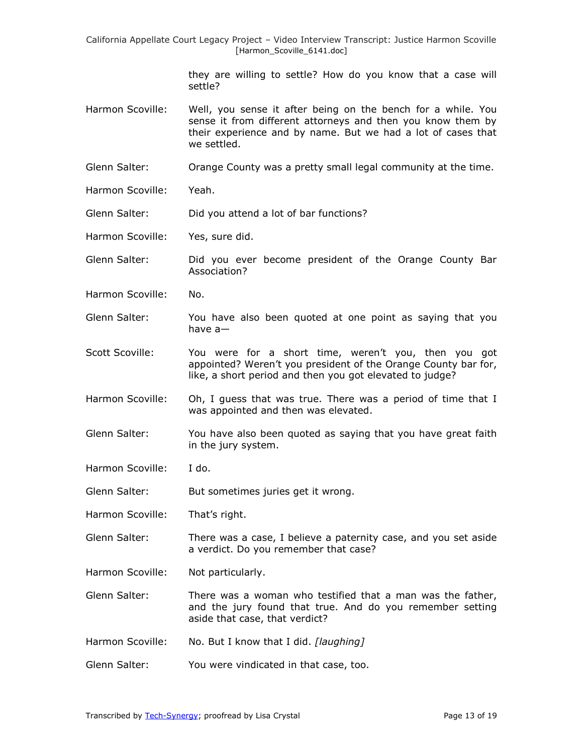> they are willing to settle? How do you know that a case will settle?

- Harmon Scoville: Well, you sense it after being on the bench for a while. You sense it from different attorneys and then you know them by their experience and by name. But we had a lot of cases that we settled.
- Glenn Salter: Orange County was a pretty small legal community at the time.
- Harmon Scoville: Yeah.
- Glenn Salter: Did you attend a lot of bar functions?
- Harmon Scoville: Yes, sure did.
- Glenn Salter: Did you ever become president of the Orange County Bar Association?
- Harmon Scoville: No.
- Glenn Salter: You have also been quoted at one point as saying that you have a—
- Scott Scoville: You were for a short time, weren't you, then you got appointed? Weren't you president of the Orange County bar for, like, a short period and then you got elevated to judge?
- Harmon Scoville: Oh, I quess that was true. There was a period of time that I was appointed and then was elevated.
- Glenn Salter: You have also been quoted as saying that you have great faith in the jury system.
- Harmon Scoville: I do.

Glenn Salter: But sometimes juries get it wrong.

- Harmon Scoville: That's right.
- Glenn Salter: There was a case, I believe a paternity case, and you set aside a verdict. Do you remember that case?
- Harmon Scoville: Not particularly.
- Glenn Salter: There was a woman who testified that a man was the father, and the jury found that true. And do you remember setting aside that case, that verdict?
- Harmon Scoville: No. But I know that I did. *[laughing]*
- Glenn Salter: You were vindicated in that case, too.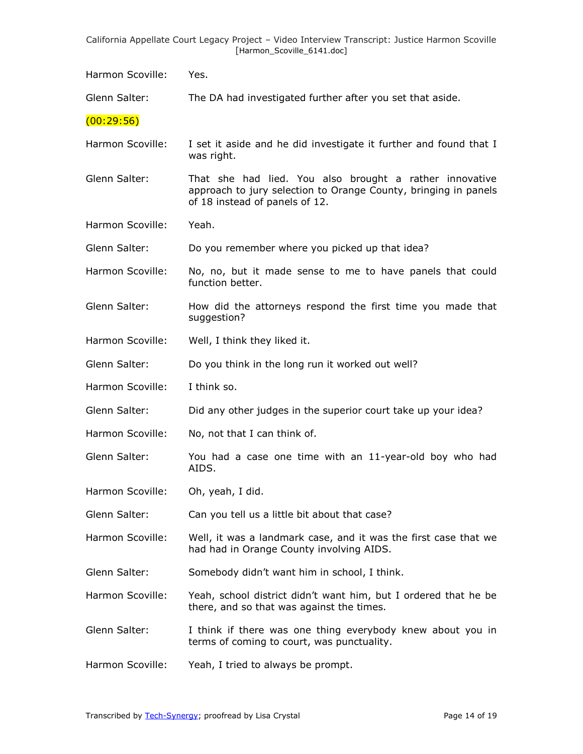Harmon Scoville: Yes.

Glenn Salter: The DA had investigated further after you set that aside.

 $(00:29:56)$ 

Harmon Scoville: I set it aside and he did investigate it further and found that I was right.

Glenn Salter: That she had lied. You also brought a rather innovative approach to jury selection to Orange County, bringing in panels of 18 instead of panels of 12.

Harmon Scoville: Yeah.

Glenn Salter: Do you remember where you picked up that idea?

Harmon Scoville: No, no, but it made sense to me to have panels that could function better.

Glenn Salter: How did the attorneys respond the first time you made that suggestion?

Harmon Scoville: Well, I think they liked it.

Glenn Salter: Do you think in the long run it worked out well?

Harmon Scoville: I think so.

Glenn Salter: Did any other judges in the superior court take up your idea?

Harmon Scoville: No, not that I can think of.

Glenn Salter: You had a case one time with an 11-year-old boy who had AIDS.

Harmon Scoville: Oh, yeah, I did.

Glenn Salter: Can you tell us a little bit about that case?

Harmon Scoville: Well, it was a landmark case, and it was the first case that we had had in Orange County involving AIDS.

Glenn Salter: Somebody didn't want him in school, I think.

Harmon Scoville: Yeah, school district didn't want him, but I ordered that he be there, and so that was against the times.

Glenn Salter: I think if there was one thing everybody knew about you in terms of coming to court, was punctuality.

Harmon Scoville: Yeah, I tried to always be prompt.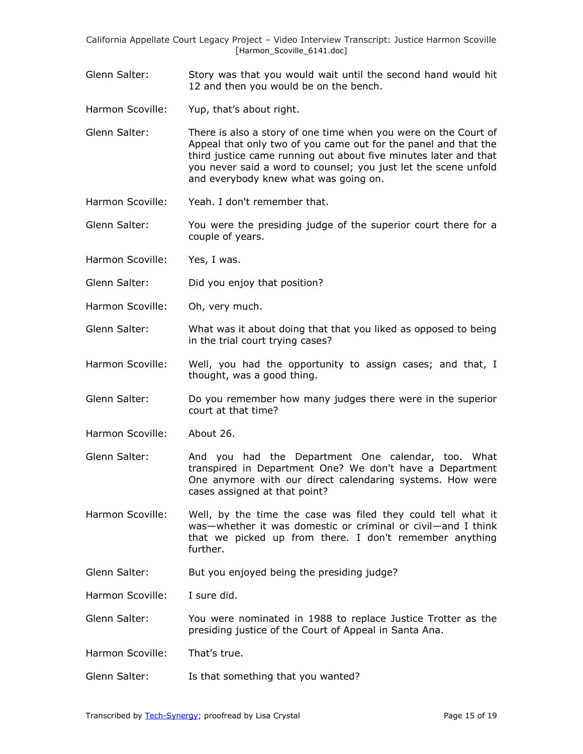- Glenn Salter: Story was that you would wait until the second hand would hit 12 and then you would be on the bench.
- Harmon Scoville: Yup, that's about right.
- Glenn Salter: There is also a story of one time when you were on the Court of Appeal that only two of you came out for the panel and that the third justice came running out about five minutes later and that you never said a word to counsel; you just let the scene unfold and everybody knew what was going on.
- Harmon Scoville: Yeah. I don't remember that.
- Glenn Salter: You were the presiding judge of the superior court there for a couple of years.
- Harmon Scoville: Yes, I was.
- Glenn Salter: Did you enjoy that position?
- Harmon Scoville: Oh, very much.
- Glenn Salter: What was it about doing that that you liked as opposed to being in the trial court trying cases?
- Harmon Scoville: Well, you had the opportunity to assign cases; and that, I thought, was a good thing.
- Glenn Salter: Do you remember how many judges there were in the superior court at that time?
- Harmon Scoville: About 26.
- Glenn Salter: And you had the Department One calendar, too. What transpired in Department One? We don't have a Department One anymore with our direct calendaring systems. How were cases assigned at that point?
- Harmon Scoville: Well, by the time the case was filed they could tell what it was—whether it was domestic or criminal or civil—and I think that we picked up from there. I don't remember anything further.
- Glenn Salter: But you enjoyed being the presiding judge?

Harmon Scoville: I sure did.

Glenn Salter: You were nominated in 1988 to replace Justice Trotter as the presiding justice of the Court of Appeal in Santa Ana.

Harmon Scoville: That's true.

Glenn Salter: Is that something that you wanted?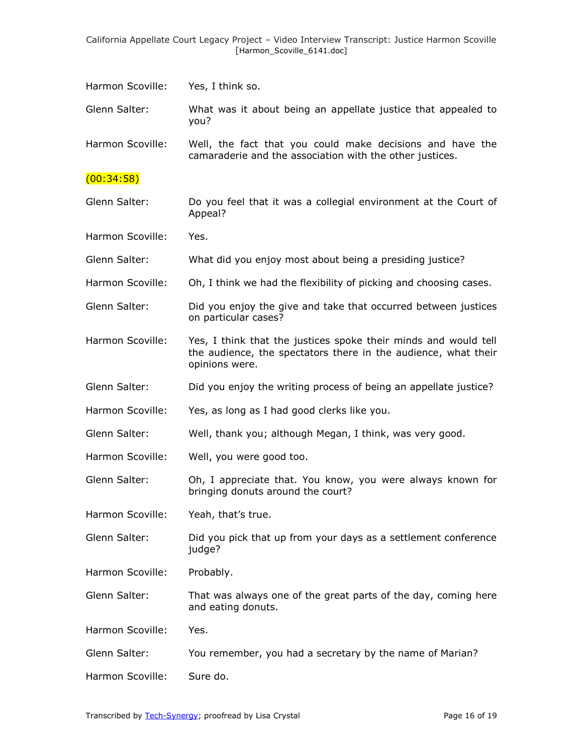Glenn Salter: What was it about being an appellate justice that appealed to you?

Harmon Scoville: Well, the fact that you could make decisions and have the camaraderie and the association with the other justices.

### (00:34:58)

Glenn Salter: Do you feel that it was a collegial environment at the Court of Appeal?

Harmon Scoville: Yes.

Glenn Salter: What did you enjoy most about being a presiding justice?

- Harmon Scoville: Oh, I think we had the flexibility of picking and choosing cases.
- Glenn Salter: Did you enjoy the give and take that occurred between justices on particular cases?
- Harmon Scoville: Yes, I think that the justices spoke their minds and would tell the audience, the spectators there in the audience, what their opinions were.
- Glenn Salter: Did you enjoy the writing process of being an appellate justice?
- Harmon Scoville: Yes, as long as I had good clerks like you.
- Glenn Salter: Well, thank you; although Megan, I think, was very good.
- Harmon Scoville: Well, you were good too.
- Glenn Salter: Oh, I appreciate that. You know, you were always known for bringing donuts around the court?
- Harmon Scoville: Yeah, that's true.
- Glenn Salter: Did you pick that up from your days as a settlement conference judge?

Harmon Scoville: Probably.

- Glenn Salter: That was always one of the great parts of the day, coming here and eating donuts.
- Harmon Scoville: Yes.
- Glenn Salter: You remember, you had a secretary by the name of Marian?
- Harmon Scoville: Sure do.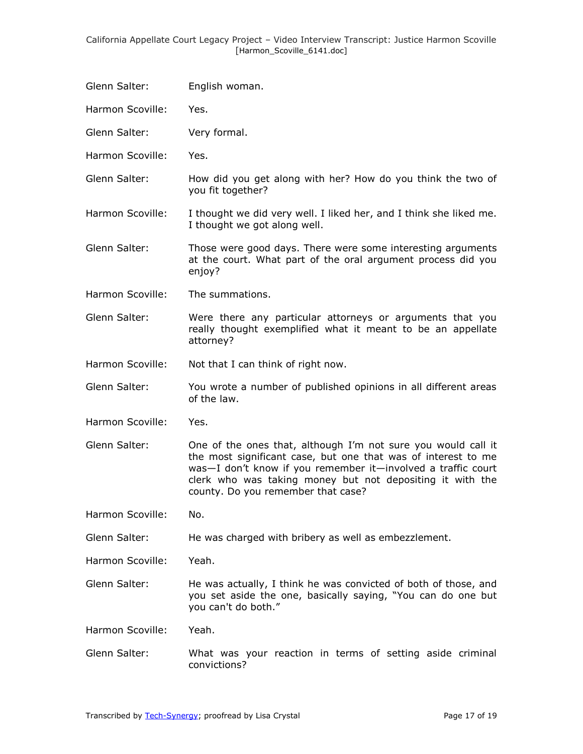- Glenn Salter: English woman.
- Harmon Scoville: Yes.
- Glenn Salter: Very formal.
- Harmon Scoville: Yes.
- Glenn Salter: How did you get along with her? How do you think the two of you fit together?
- Harmon Scoville: I thought we did very well. I liked her, and I think she liked me. I thought we got along well.
- Glenn Salter: Those were good days. There were some interesting arguments at the court. What part of the oral argument process did you enjoy?
- Harmon Scoville: The summations.
- Glenn Salter: Were there any particular attorneys or arguments that you really thought exemplified what it meant to be an appellate attorney?
- Harmon Scoville: Not that I can think of right now.
- Glenn Salter: You wrote a number of published opinions in all different areas of the law.
- Harmon Scoville: Yes.
- Glenn Salter: One of the ones that, although I'm not sure you would call it the most significant case, but one that was of interest to me was—I don't know if you remember it—involved a traffic court clerk who was taking money but not depositing it with the county. Do you remember that case?

Harmon Scoville: No.

- Glenn Salter: He was charged with bribery as well as embezzlement.
- Harmon Scoville: Yeah.
- Glenn Salter: He was actually, I think he was convicted of both of those, and you set aside the one, basically saying, "You can do one but you can't do both."
- Harmon Scoville: Yeah.
- Glenn Salter: What was your reaction in terms of setting aside criminal convictions?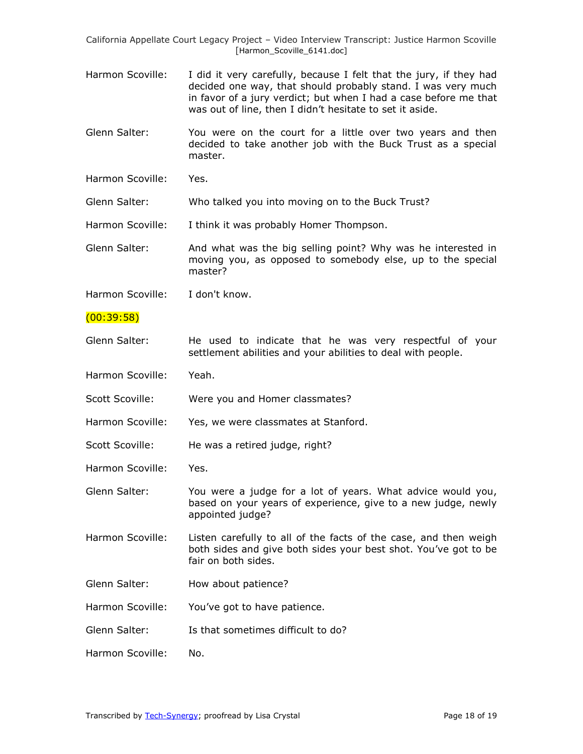- Harmon Scoville: I did it very carefully, because I felt that the jury, if they had decided one way, that should probably stand. I was very much in favor of a jury verdict; but when I had a case before me that was out of line, then I didn't hesitate to set it aside.
- Glenn Salter: You were on the court for a little over two years and then decided to take another job with the Buck Trust as a special master.
- Harmon Scoville: Yes.

Glenn Salter: Who talked you into moving on to the Buck Trust?

Harmon Scoville: I think it was probably Homer Thompson.

Glenn Salter: And what was the big selling point? Why was he interested in moving you, as opposed to somebody else, up to the special master?

Harmon Scoville: I don't know.

- (00:39:58)
- Glenn Salter: He used to indicate that he was very respectful of your settlement abilities and your abilities to deal with people.
- Harmon Scoville: Yeah.
- Scott Scoville: Were you and Homer classmates?
- Harmon Scoville: Yes, we were classmates at Stanford.
- Scott Scoville: He was a retired judge, right?
- Harmon Scoville: Yes.

Glenn Salter: You were a judge for a lot of years. What advice would you, based on your years of experience, give to a new judge, newly appointed judge?

- Harmon Scoville: Listen carefully to all of the facts of the case, and then weigh both sides and give both sides your best shot. You've got to be fair on both sides.
- Glenn Salter: How about patience?
- Harmon Scoville: You've got to have patience.
- Glenn Salter: Is that sometimes difficult to do?
- Harmon Scoville: No.